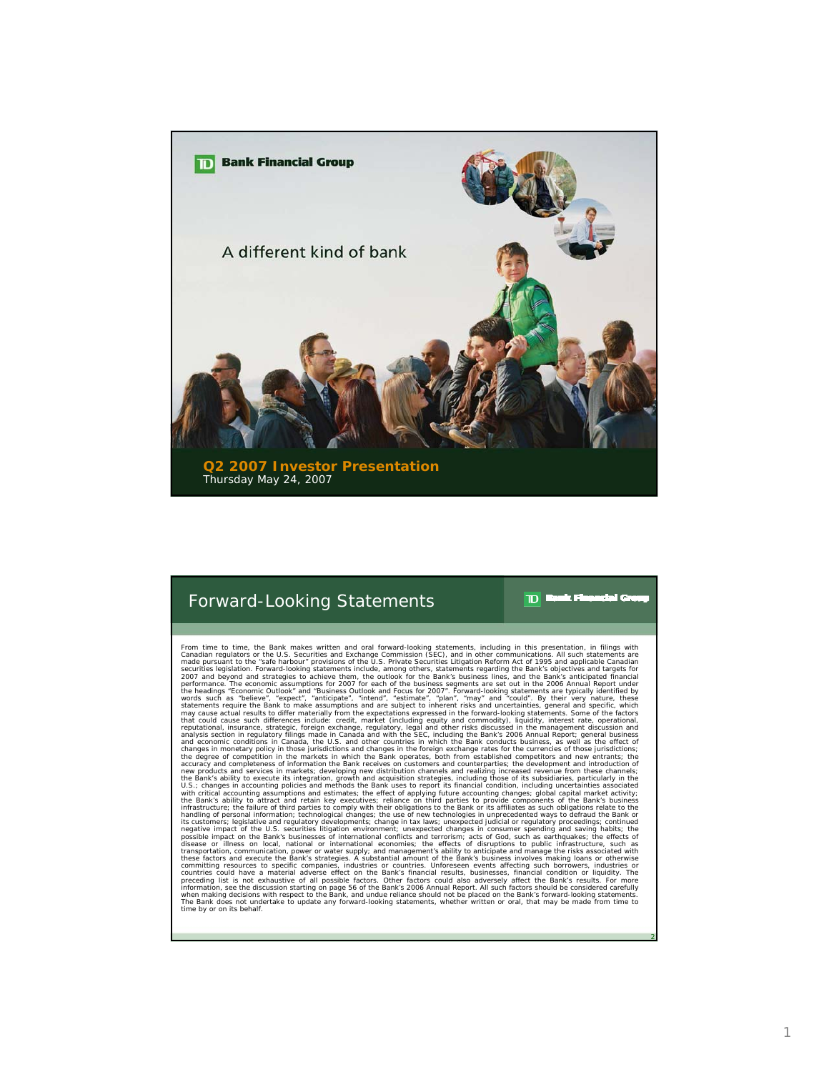

## Forward-Looking Statements

 $\mathbf{D}$  Basic Fi atal G

2

From time to time, the Bank makes wiriten and oral forward-looking statements, including in this presentation, in fillings with the Bank smalled propositions of the U.S. Provide Scatter and the Sampled proposition of the B when making decisions with respect to the Bank, and undue reliance should not be placed on the Bank's forward-looking statements.<br>The Bank does not undertake to update any forward-looking statements, whether written or ora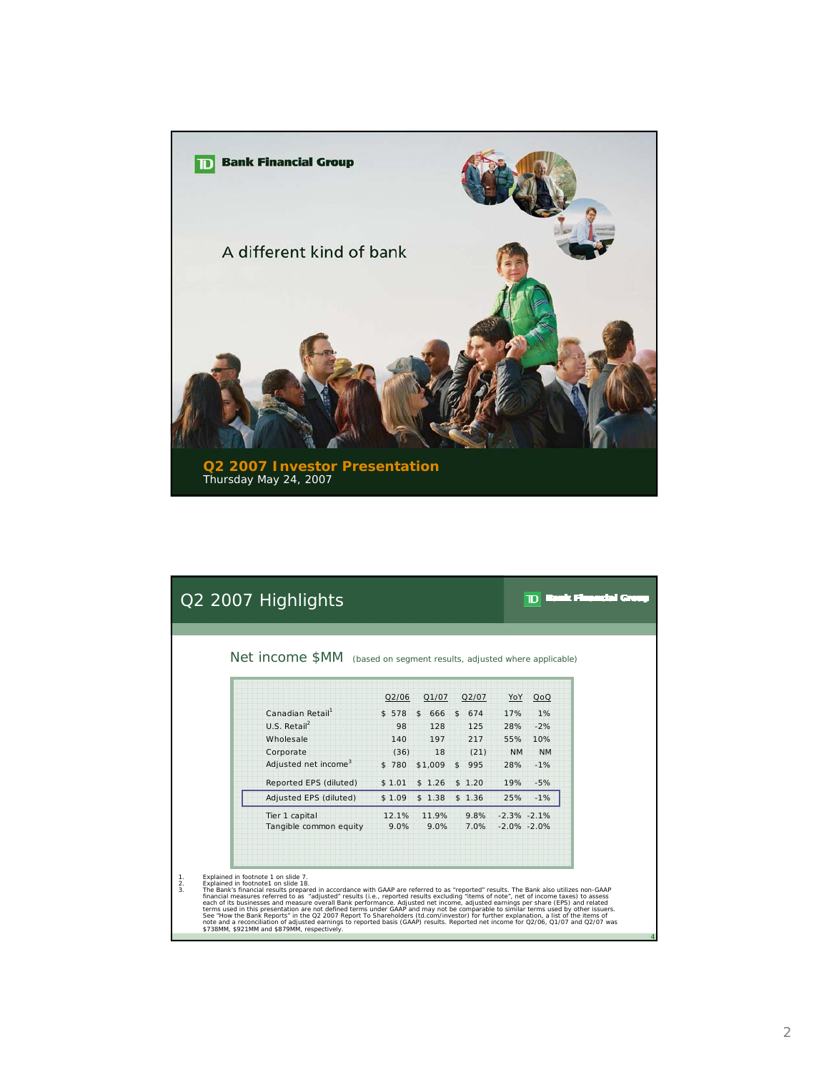

|                |                                                                            | Q2 2007 Highlights                                                                                                                                                                                                                                                                                                                                                                                                                                                                                                                                                                                                                                                                                                                                                                                                                                                                  |               |                       |                |              |                  |                                    |          |
|----------------|----------------------------------------------------------------------------|-------------------------------------------------------------------------------------------------------------------------------------------------------------------------------------------------------------------------------------------------------------------------------------------------------------------------------------------------------------------------------------------------------------------------------------------------------------------------------------------------------------------------------------------------------------------------------------------------------------------------------------------------------------------------------------------------------------------------------------------------------------------------------------------------------------------------------------------------------------------------------------|---------------|-----------------------|----------------|--------------|------------------|------------------------------------|----------|
|                |                                                                            | Net income \$MM (based on segment results, adjusted where applicable)                                                                                                                                                                                                                                                                                                                                                                                                                                                                                                                                                                                                                                                                                                                                                                                                               |               |                       |                |              |                  |                                    |          |
|                |                                                                            |                                                                                                                                                                                                                                                                                                                                                                                                                                                                                                                                                                                                                                                                                                                                                                                                                                                                                     | Q2/06         | Q1/07                 |                | Q2/07        | YoY              | QoQ                                |          |
|                |                                                                            | Canadian Retail <sup>1</sup>                                                                                                                                                                                                                                                                                                                                                                                                                                                                                                                                                                                                                                                                                                                                                                                                                                                        | \$578         | 666<br>$\mathfrak{s}$ | $\mathfrak{s}$ | 674          | 17%              | 1%                                 |          |
|                |                                                                            | U.S. Retail <sup>2</sup>                                                                                                                                                                                                                                                                                                                                                                                                                                                                                                                                                                                                                                                                                                                                                                                                                                                            | 98            | 128                   |                | 125          | 28%              | $-2%$                              |          |
|                |                                                                            | Wholesale<br>Corporate                                                                                                                                                                                                                                                                                                                                                                                                                                                                                                                                                                                                                                                                                                                                                                                                                                                              | 140<br>(36)   | 197<br>18             |                | 217<br>(21)  | 55%<br><b>NM</b> | 10%<br><b>NM</b>                   |          |
|                |                                                                            | Adjusted net income <sup>3</sup>                                                                                                                                                                                                                                                                                                                                                                                                                                                                                                                                                                                                                                                                                                                                                                                                                                                    | \$780         | \$1,009               | \$             | 995          | 28%              | $-1%$                              |          |
|                |                                                                            | Reported EPS (diluted)                                                                                                                                                                                                                                                                                                                                                                                                                                                                                                                                                                                                                                                                                                                                                                                                                                                              | \$1.01        | \$1.26                |                | \$1.20       | 19%              | $-5%$                              |          |
|                |                                                                            | Adjusted EPS (diluted)                                                                                                                                                                                                                                                                                                                                                                                                                                                                                                                                                                                                                                                                                                                                                                                                                                                              | \$1.09        | \$1.38                |                | \$1.36       | 25%              | $-1%$                              |          |
|                |                                                                            | Tier 1 capital<br>Tangible common equity                                                                                                                                                                                                                                                                                                                                                                                                                                                                                                                                                                                                                                                                                                                                                                                                                                            | 12.1%<br>9.0% | 11.9%<br>9.0%         |                | 9.8%<br>7.0% |                  | $-2.3\% -2.1\%$<br>$-2.0\% -2.0\%$ |          |
| 1.<br>2.<br>3. | Explained in footnote 1 on slide 7.<br>Explained in footnote1 on slide 18. | The Bank's financial results prepared in accordance with GAAP are referred to as "reported" results. The Bank also utilizes non-GAAP<br>financial measures referred to as "adjusted" results (i.e., reported results excluding "items of note", net of income taxes) to assess<br>each of its businesses and measure overall Bank performance. Adjusted net income, adjusted earnings per share (EPS) and related<br>terms used in this presentation are not defined terms under GAAP and may not be comparable to similar terms used by other issuers.<br>See "How the Bank Reports" in the Q2 2007 Report To Shareholders (td.com/investor) for further explanation, a list of the items of<br>note and a reconciliation of adjusted earnings to reported basis (GAAP) results. Reported net income for Q2/06, Q1/07 and Q2/07 was<br>\$738MM, \$921MM and \$879MM, respectively. |               |                       |                |              |                  |                                    | $\Delta$ |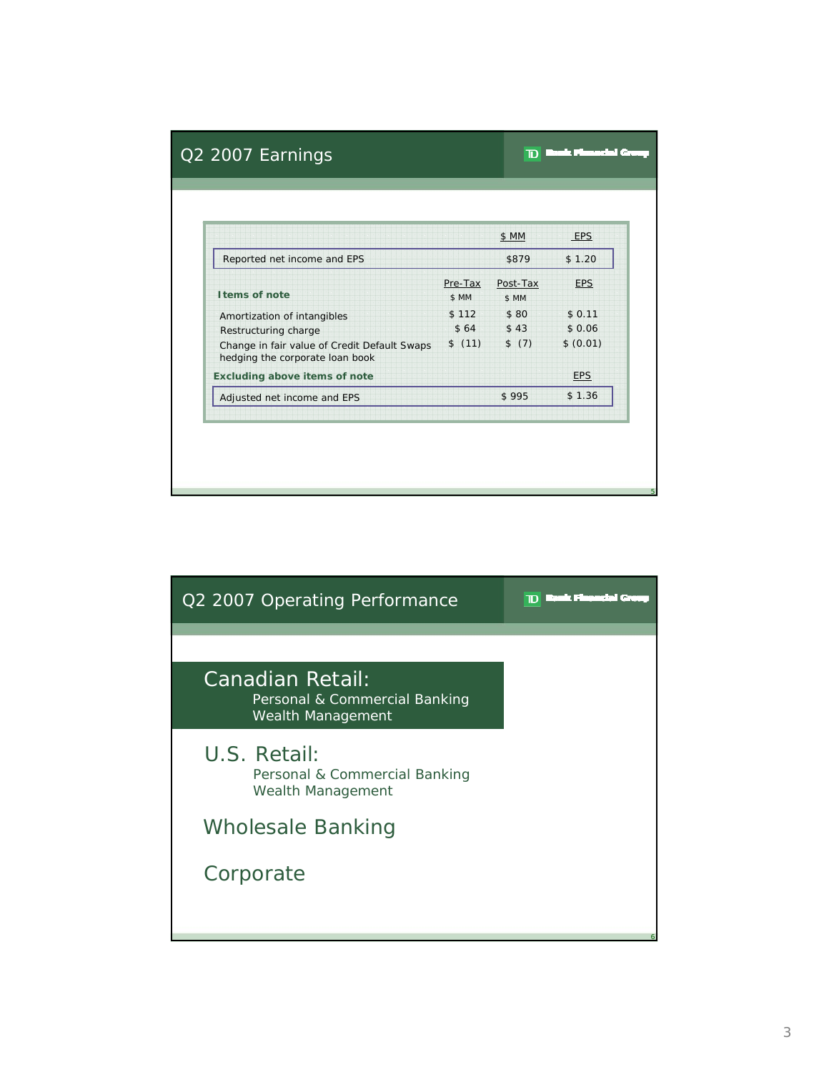|                                                                                 |                  | \$ MM             | EPS         |
|---------------------------------------------------------------------------------|------------------|-------------------|-------------|
| Reported net income and EPS                                                     |                  | \$879             | \$1.20      |
| I tems of note                                                                  | Pre-Tax<br>\$ MM | Post-Tax<br>\$ MM | <b>EPS</b>  |
| Amortization of intangibles                                                     | \$112            |                   | \$80 \$0.11 |
| Restructuring charge                                                            | \$64             | \$43              | \$0.06      |
| Change in fair value of Credit Default Swaps<br>hedging the corporate loan book | \$(11)           | \$ (7)            | \$ (0.01)   |
| <b>Excluding above items of note</b>                                            |                  |                   | <b>EPS</b>  |
| Adjusted net income and EPS                                                     |                  | \$995             | \$1.36      |

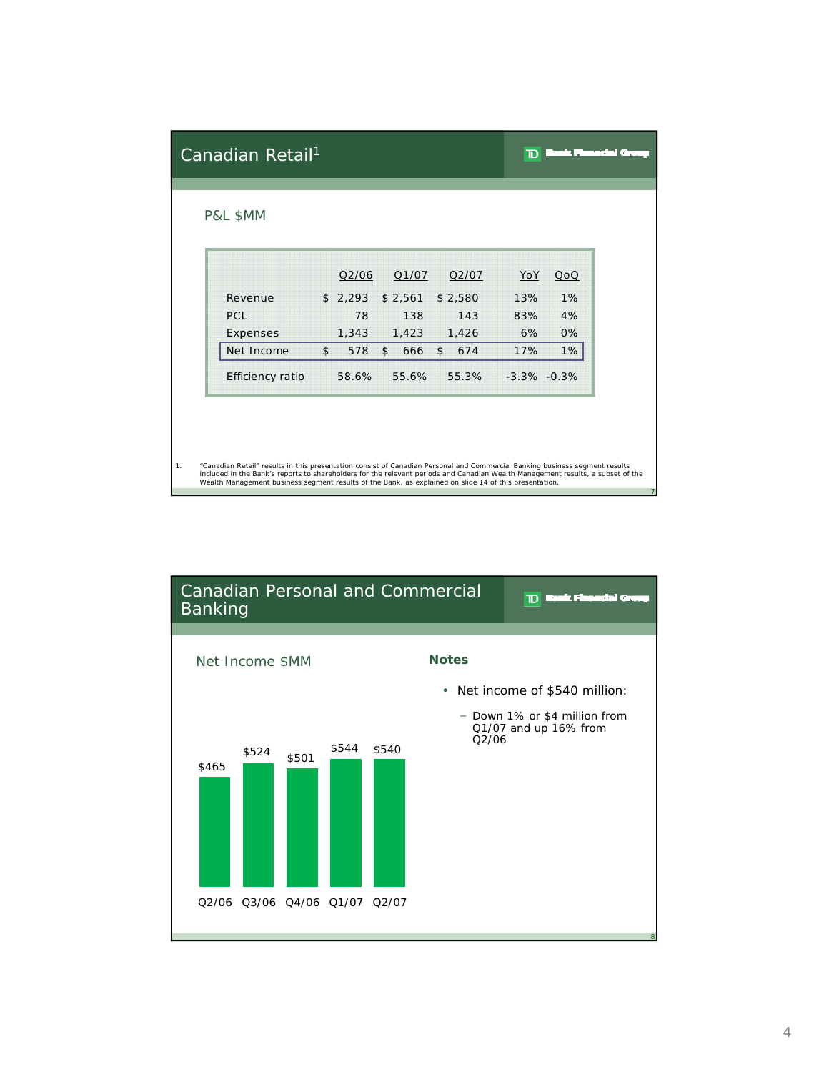| Canadian Retail <sup>1</sup>                                                                                                                                                                                                                                                                                                                                             |                |         |                      |                      | ו מד            | kak Flansdel Gr |
|--------------------------------------------------------------------------------------------------------------------------------------------------------------------------------------------------------------------------------------------------------------------------------------------------------------------------------------------------------------------------|----------------|---------|----------------------|----------------------|-----------------|-----------------|
| P&L \$MM                                                                                                                                                                                                                                                                                                                                                                 |                |         |                      |                      |                 |                 |
|                                                                                                                                                                                                                                                                                                                                                                          |                | Q2/06   | Q1/07                | Q2/07                | YoY             | QoQ             |
| Revenue                                                                                                                                                                                                                                                                                                                                                                  |                | \$2,293 | \$2,561              | \$2,580              | 13%             | 1%              |
| PCL                                                                                                                                                                                                                                                                                                                                                                      |                | 78      | 138                  | 143                  | 83%             | 4%              |
| Expenses                                                                                                                                                                                                                                                                                                                                                                 |                | 1,343   | 1,423                | 1,426                | 6%              | 0%              |
| Net Income                                                                                                                                                                                                                                                                                                                                                               | $\mathfrak{S}$ | 578     | $\mathsf{\$}$<br>666 | $\mathsf{\$}$<br>674 | 17%             | 1%              |
| Efficiency ratio                                                                                                                                                                                                                                                                                                                                                         |                | 58.6%   | 55.6%                | 55.3%                | $-3.3\% -0.3\%$ |                 |
|                                                                                                                                                                                                                                                                                                                                                                          |                |         |                      |                      |                 |                 |
|                                                                                                                                                                                                                                                                                                                                                                          |                |         |                      |                      |                 |                 |
| "Canadian Retail" results in this presentation consist of Canadian Personal and Commercial Banking business segment results<br>included in the Bank's reports to shareholders for the relevant periods and Canadian Wealth Management results, a subset of the<br>Wealth Management business segment results of the Bank, as explained on slide 14 of this presentation. |                |         |                      |                      |                 |                 |

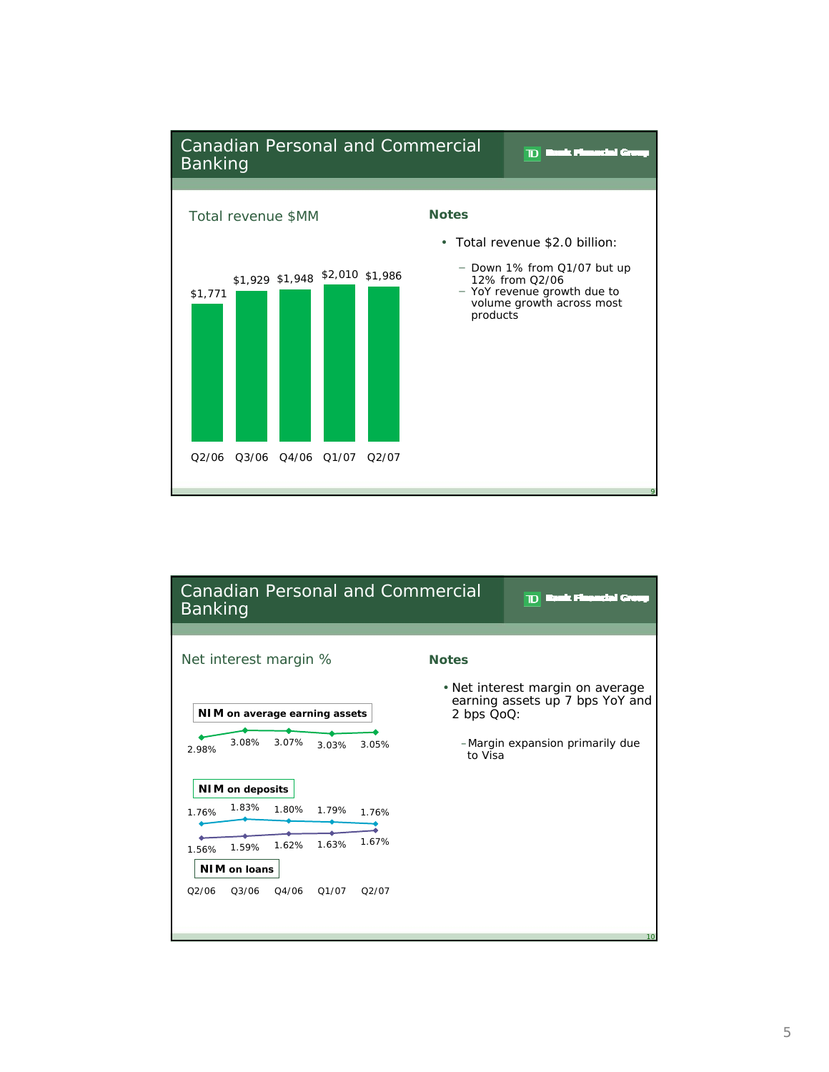

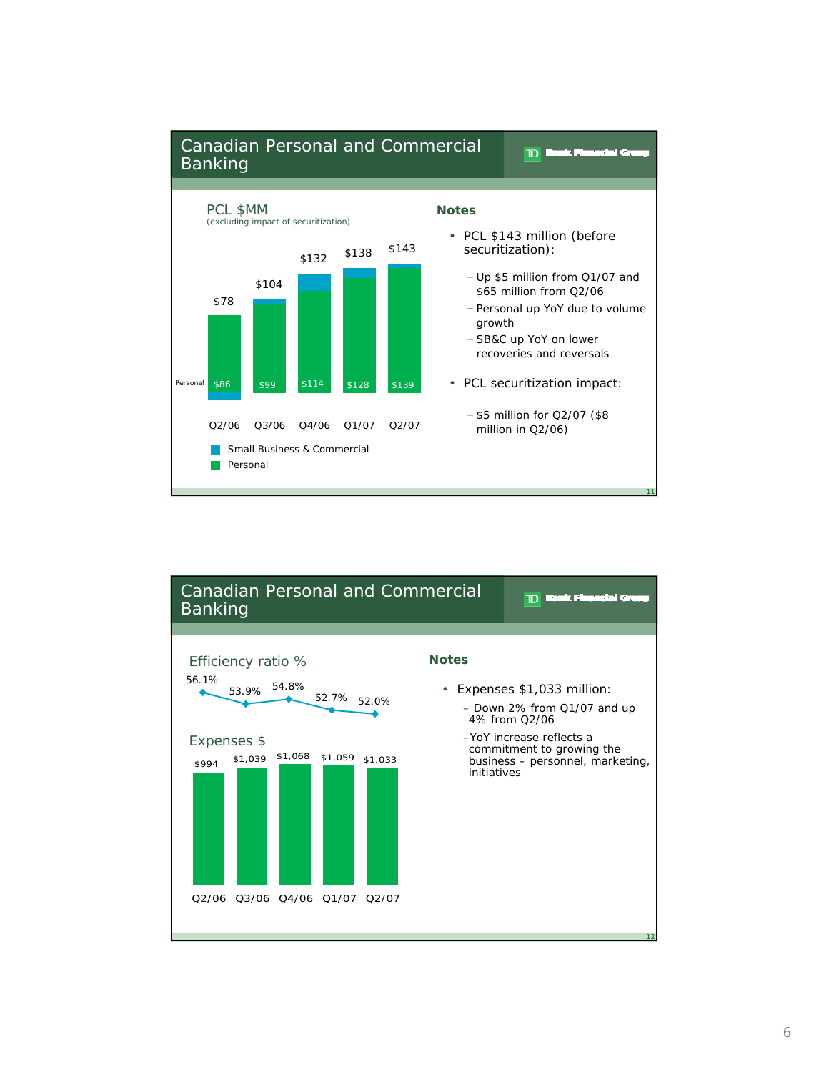

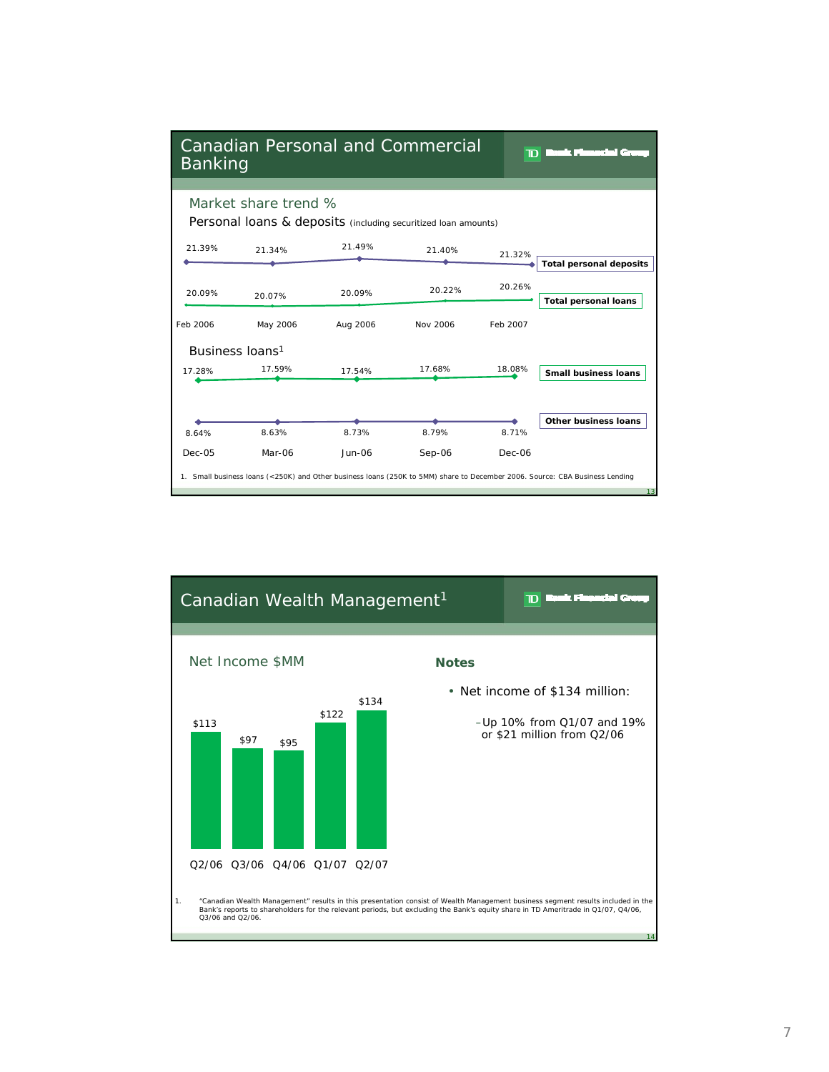

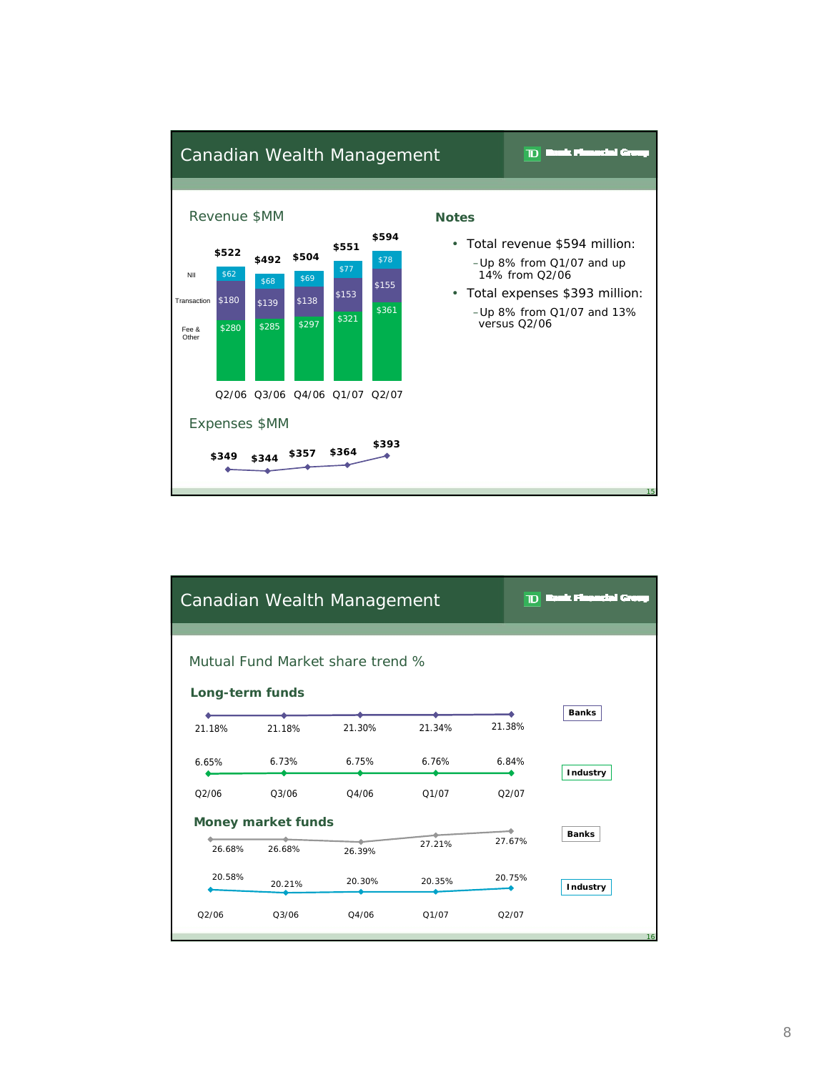

| Canadian Wealth Management<br>$\mathbf D$ Reak Financial Gro |                 |        |        |        |                 |  |  |  |  |
|--------------------------------------------------------------|-----------------|--------|--------|--------|-----------------|--|--|--|--|
| Mutual Fund Market share trend %                             |                 |        |        |        |                 |  |  |  |  |
|                                                              | Long-term funds |        |        |        |                 |  |  |  |  |
| 21.18%                                                       | 21.18%          | 21.30% | 21.34% | 21.38% | <b>Banks</b>    |  |  |  |  |
| 6.65%                                                        | 6.73%           | 6.75%  | 6.76%  | 6.84%  | <b>Industry</b> |  |  |  |  |
| O2/06                                                        | 03/06           | 04/06  | 01/07  | O2/07  |                 |  |  |  |  |
| <b>Money market funds</b>                                    |                 |        |        |        |                 |  |  |  |  |
| 26.68%                                                       | 26.68%          | 26.39% | 27.21% | 27.67% | <b>Banks</b>    |  |  |  |  |
| 20.58%                                                       | 20.21%          | 20.30% | 20.35% | 20.75% | Industry        |  |  |  |  |
| O2/06                                                        | 03/06           | 04/06  | Q1/07  | Q2/07  |                 |  |  |  |  |
|                                                              |                 |        |        |        | 16              |  |  |  |  |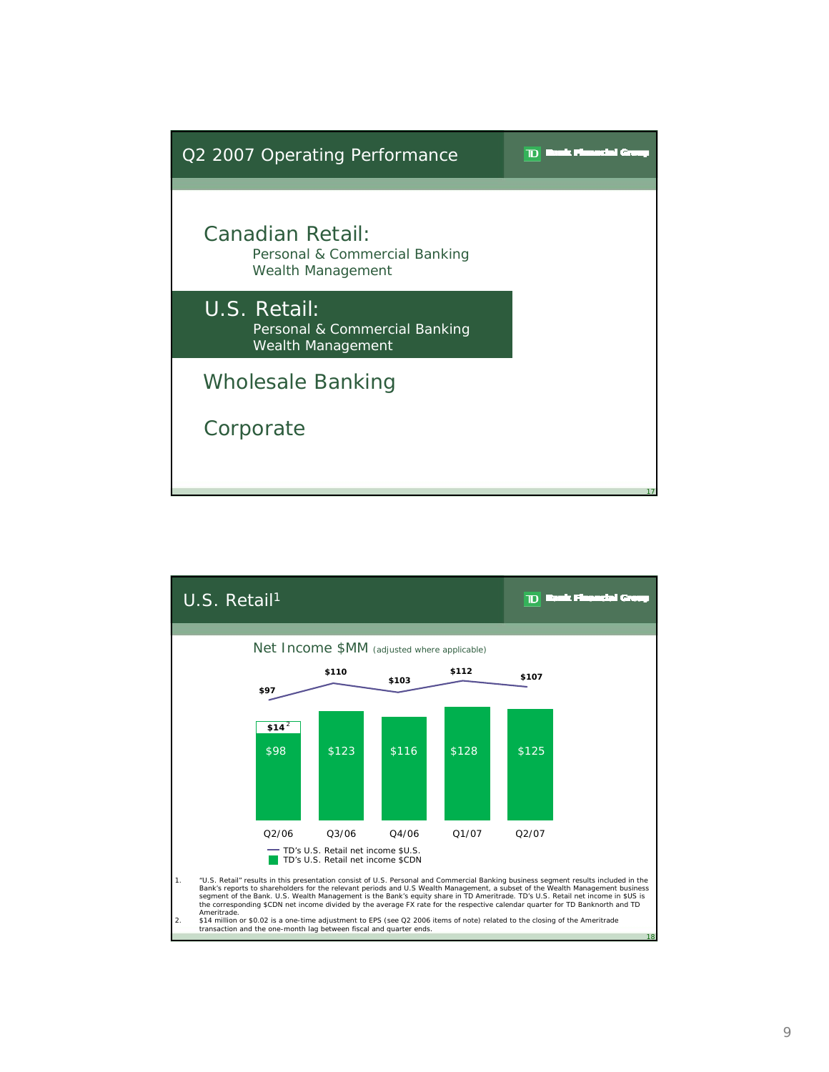

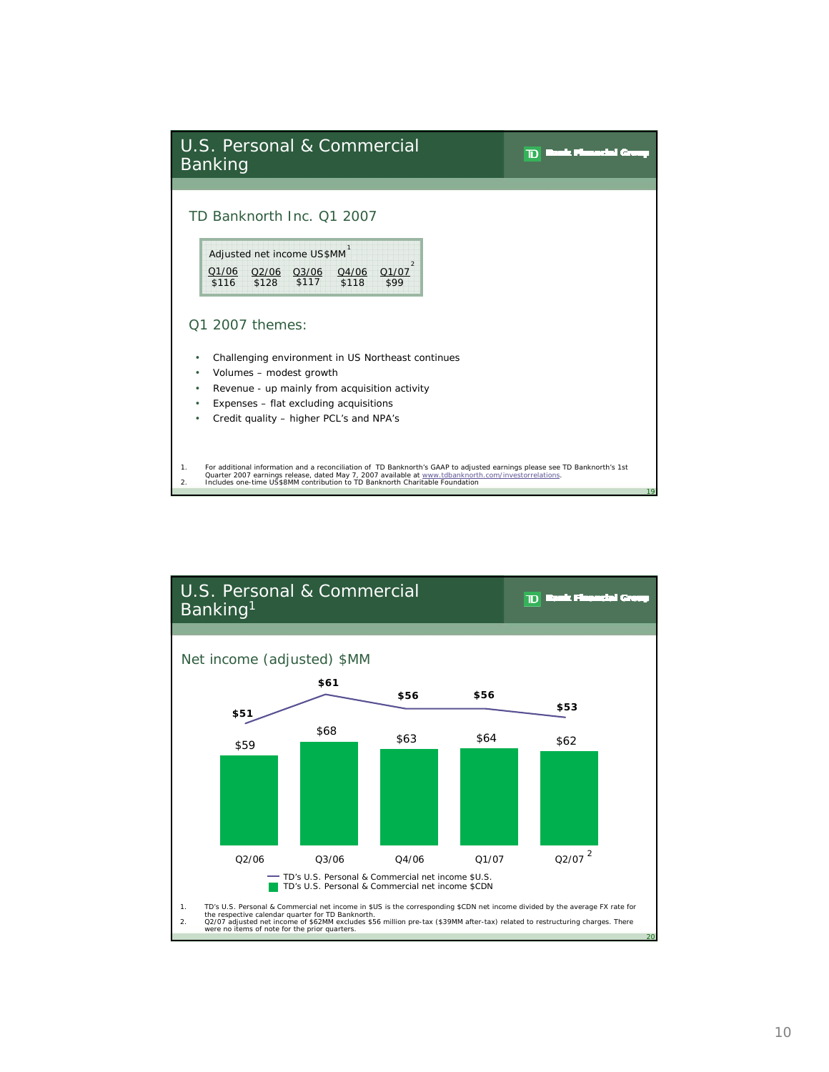| U.S. Personal & Commercial<br><b>Banking</b>                                                                                                                                                                                                                                                                                                |    |
|---------------------------------------------------------------------------------------------------------------------------------------------------------------------------------------------------------------------------------------------------------------------------------------------------------------------------------------------|----|
| TD Banknorth Inc. 01 2007<br>Adjusted net income US\$MM<br>Q1/07<br>Q1/06<br>Q2/06 Q3/06<br>Q4/06<br>\$128 \$117<br>\$118<br>\$116<br>\$99                                                                                                                                                                                                  |    |
| 01 2007 themes:<br>Challenging environment in US Northeast continues<br>٠<br>Volumes - modest growth<br>٠<br>Revenue - up mainly from acquisition activity<br>٠<br>Expenses - flat excluding acquisitions<br>٠<br>Credit quality - higher PCL's and NPA's<br>٠                                                                              |    |
| For additional information and a reconciliation of TD Banknorth's GAAP to adjusted earnings please see TD Banknorth's 1st<br>1.<br>Quarter 2007 earnings release, dated May 7, 2007 available at www.tdbanknorth.com/investorrelations.<br>Includes one-time US\$8MM contribution to TD Banknorth Charitable Foundation<br>$\overline{2}$ . | 19 |

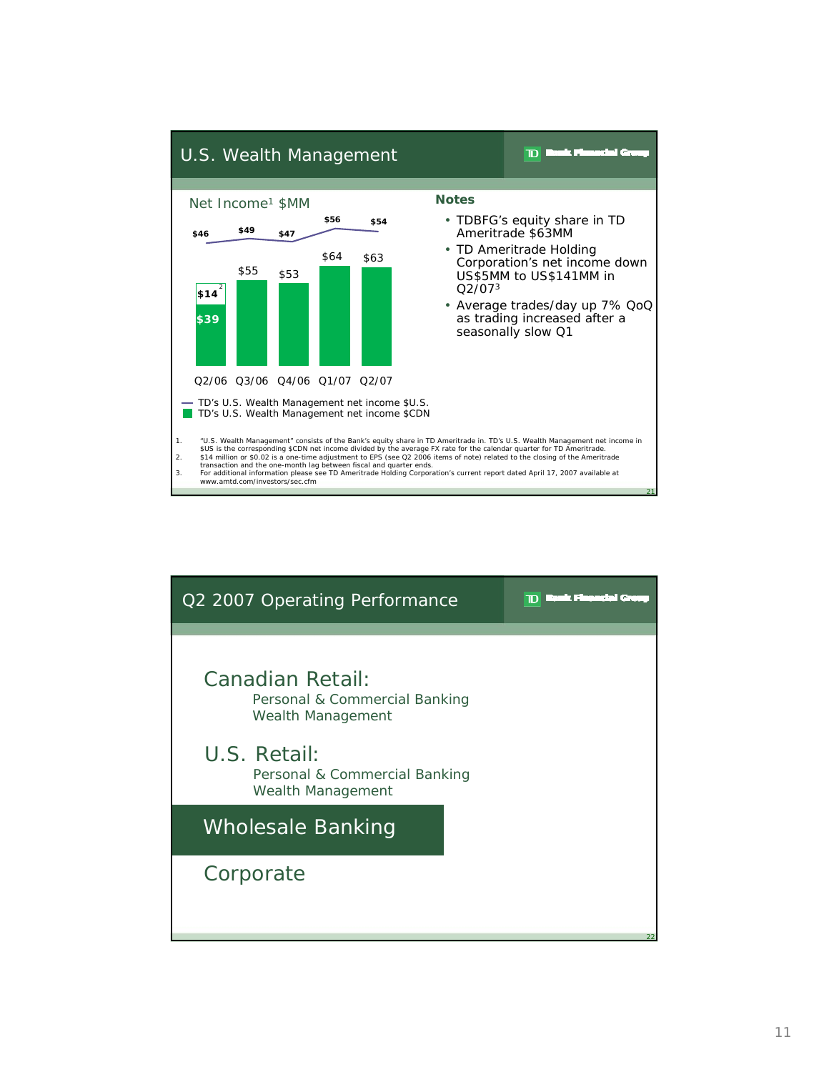

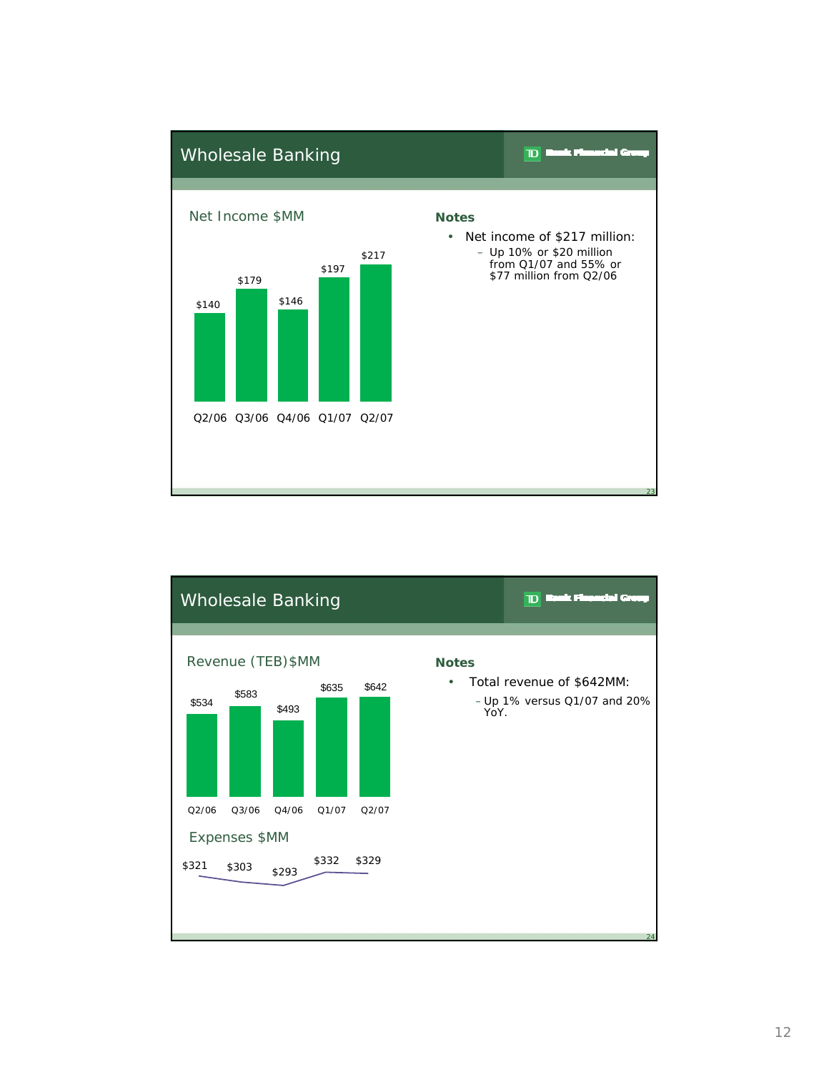

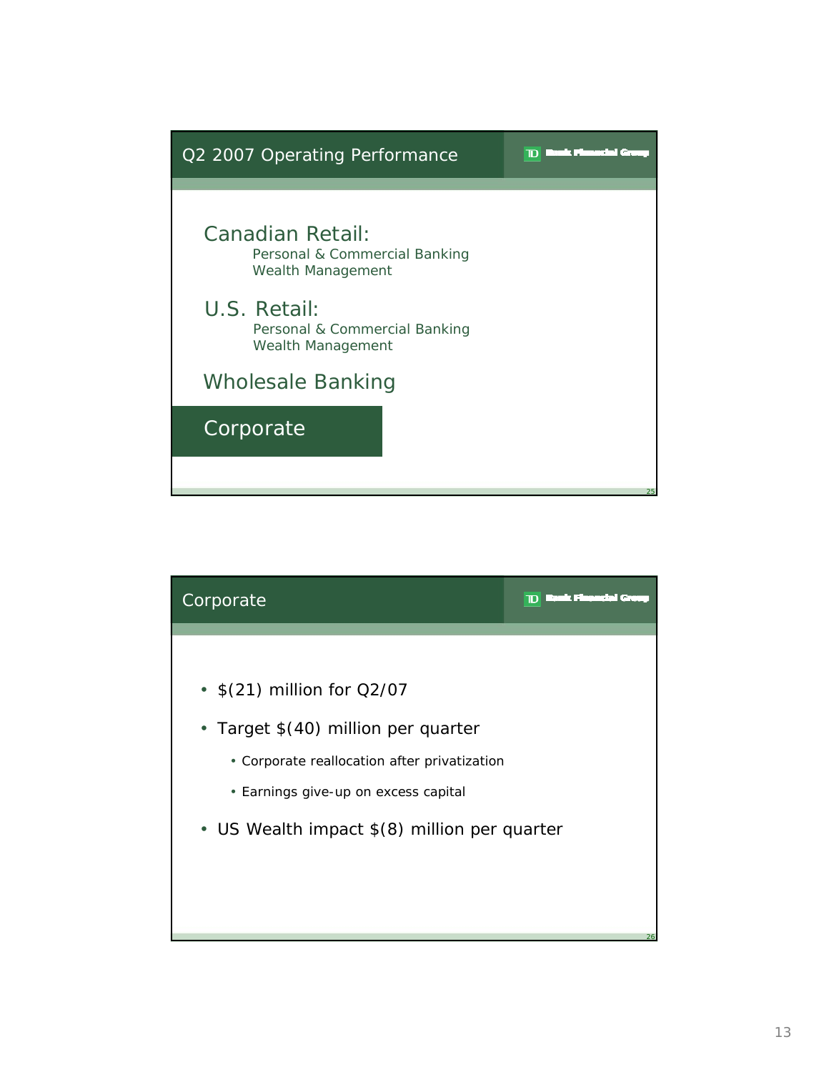